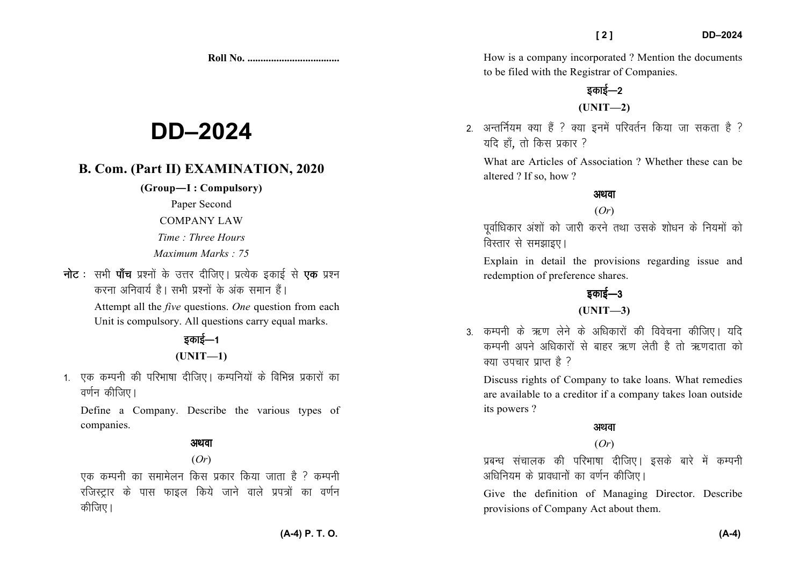**Roll No. ...................................** 

# **DD–2024**

### **B. Com. (Part II) EXAMINATION, 2020**

**(Group—I : Compulsory)** 

Paper Second

COMPANY LAW

*Time : Three Hours Maximum Marks : 75* 

**नोट** : सभी **पाँच** प्रश्नों के उत्तर दीजिए। प्रत्येक इकाई से **एक** प्रश्न करना अनिवार्य है। सभी प्रश्नों के अंक समान हैं। Attempt all the *five* questions. *One* question from each Unit is compulsory. All questions carry equal marks.

# डकाई—1 **(UNIT—1)**

1. एक कम्पनी की परिभाषा दीजिए। कम्पनियों के विभिन्न प्रकारों का वर्णन कीजिए।

Define a Company. Describe the various types of companies.

### अथवा

### (*Or*)

एक कम्पनी का समामेलन किस प्रकार किया जाता है <sup>?</sup> कम्पनी रजिस्ट्रार के पास फाइल किये जाने वाले प्रपत्रों का वर्णन कीजिए।

How is a company incorporated ? Mention the documents to be filed with the Registrar of Companies.

# डकाई—2 **(UNIT—2)**

2. अन्तर्नियम क्या हैं ? क्या इनमें परिवर्तन किया जा सकता है ? यदि हाँ, तो किस प्रकार ?

What are Articles of Association ? Whether these can be altered ? If so, how ?

### अथवा

#### (*Or*)

पूर्वाधिकार अंशों को जारी करने तथा उसके शोधन के नियमों को विस्तार से समझाइए।

Explain in detail the provisions regarding issue and redemption of preference shares.

# डकाई—3

### **(UNIT—3)**

3. कम्पनी के ऋण लेने के अधिकारों की विवेचना कीजिए। यदि कम्पनी अपने अधिकारों से बाहर ऋण लेती है तो ऋणदाता को  $\vec{v}$  axid and  $\vec{v}$  axid in the value of  $\vec{v}$ 

Discuss rights of Company to take loans. What remedies are available to a creditor if a company takes loan outside its powers ?

#### अथवा

### (*Or*)

प्रबन्ध संचालक की परिभाषा दीजिए। इसके बारे में कम्पनी अधिनियम के प्रावधानों का वर्णन कीजिए।

Give the definition of Managing Director. Describe provisions of Company Act about them.